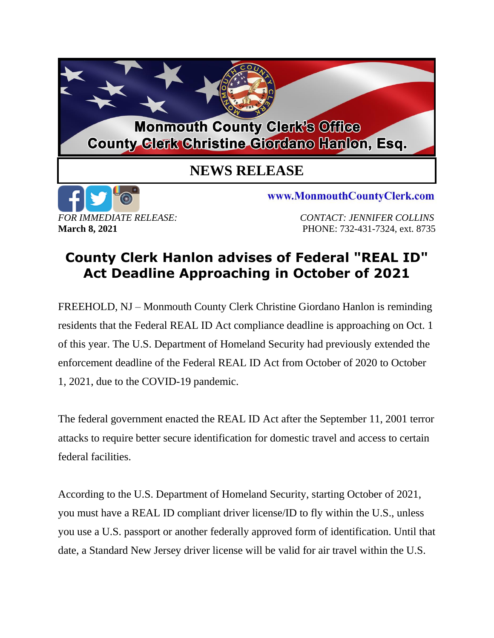

## **County Clerk Hanlon advises of Federal "REAL ID" Act Deadline Approaching in October of 2021**

FREEHOLD, NJ – Monmouth County Clerk Christine Giordano Hanlon is reminding residents that the Federal REAL ID Act compliance deadline is approaching on Oct. 1 of this year. The U.S. Department of Homeland Security had previously extended the enforcement deadline of the Federal REAL ID Act from October of 2020 to October 1, 2021, due to the COVID-19 pandemic.

The federal government enacted the REAL ID Act after the September 11, 2001 terror attacks to require better secure identification for domestic travel and access to certain federal facilities.

According to the U.S. Department of Homeland Security, starting October of 2021, you must have a REAL ID compliant driver license/ID to fly within the U.S., unless you use a U.S. passport or another federally approved form of identification. Until that date, a Standard New Jersey driver license will be valid for air travel within the U.S.